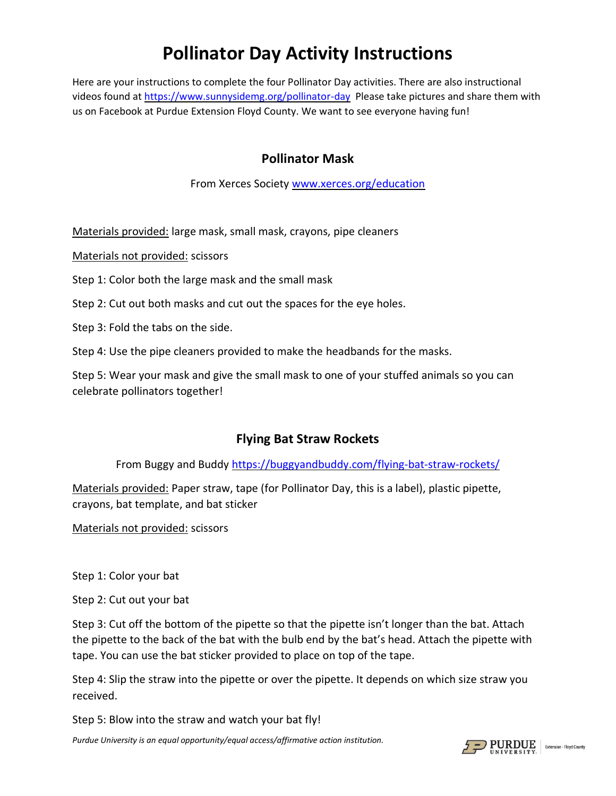# **Pollinator Day Activity Instructions**

Here are your instructions to complete the four Pollinator Day activities. There are also instructional videos found at<https://www.sunnysidemg.org/pollinator-day>Please take pictures and share them with us on Facebook at Purdue Extension Floyd County. We want to see everyone having fun!

#### **Pollinator Mask**

From Xerces Society [www.xerces.org/education](http://www.xerces.org/education)

Materials provided: large mask, small mask, crayons, pipe cleaners

Materials not provided: scissors

Step 1: Color both the large mask and the small mask

Step 2: Cut out both masks and cut out the spaces for the eye holes.

Step 3: Fold the tabs on the side.

Step 4: Use the pipe cleaners provided to make the headbands for the masks.

Step 5: Wear your mask and give the small mask to one of your stuffed animals so you can celebrate pollinators together!

### **Flying Bat Straw Rockets**

From Buggy and Buddy<https://buggyandbuddy.com/flying-bat-straw-rockets/>

Materials provided: Paper straw, tape (for Pollinator Day, this is a label), plastic pipette, crayons, bat template, and bat sticker

Materials not provided: scissors

Step 1: Color your bat

Step 2: Cut out your bat

Step 3: Cut off the bottom of the pipette so that the pipette isn't longer than the bat. Attach the pipette to the back of the bat with the bulb end by the bat's head. Attach the pipette with tape. You can use the bat sticker provided to place on top of the tape.

Step 4: Slip the straw into the pipette or over the pipette. It depends on which size straw you received.

Step 5: Blow into the straw and watch your bat fly!

*Purdue University is an equal opportunity/equal access/affirmative action institution.*